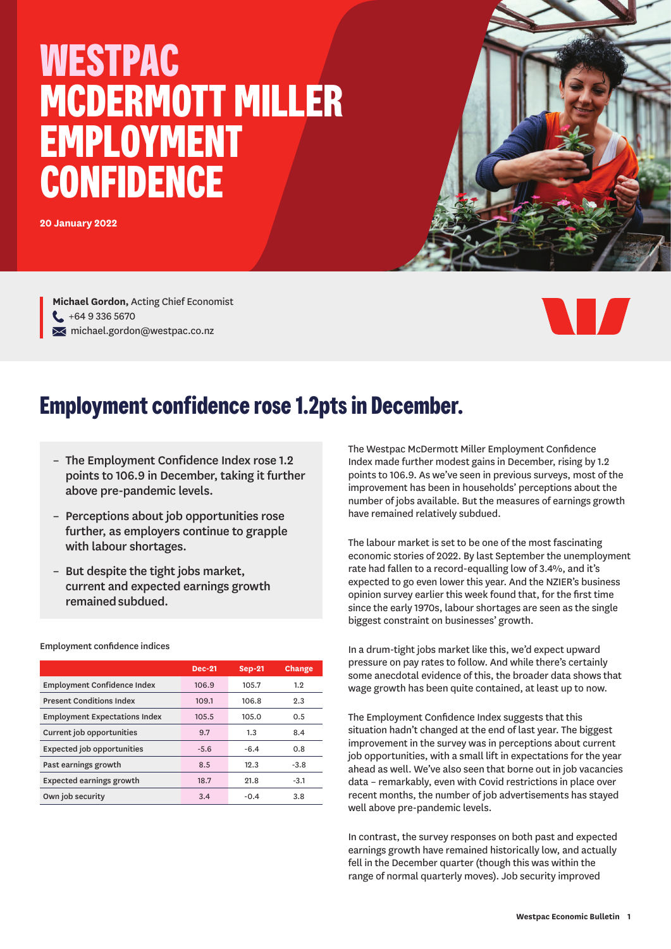# **WESTPAC MCDERMOTT MILLER EMPLOYMENT CONFIDENCE**

**20 January 2022**

**Michael Gordon,** Acting Chief Economist  $-$  +64 9 336 5670  $\blacktriangleright$  michael.gordon@westpac.co.nz



## **Employment confidence rose 1.2pts in December.**

- The Employment Confidence Index rose 1.2 points to 106.9 in December, taking it further above pre-pandemic levels.
- Perceptions about job opportunities rose further, as employers continue to grapple with labour shortages.
- But despite the tight jobs market, current and expected earnings growth remained subdued.

|                                      | <b>Dec-21</b> | <b>Sep-21</b> | Change |
|--------------------------------------|---------------|---------------|--------|
| <b>Employment Confidence Index</b>   | 106.9         | 105.7         | 1.2    |
| <b>Present Conditions Index</b>      | 109.1         | 106.8         | 2.3    |
| <b>Employment Expectations Index</b> | 105.5         | 105.0         | 0.5    |
| Current job opportunities            | 9.7           | 1.3           | 8.4    |
| <b>Expected job opportunities</b>    | $-5.6$        | $-6.4$        | 0.8    |
| Past earnings growth                 | 8.5           | 12.3          | $-3.8$ |
| <b>Expected earnings growth</b>      | 18.7          | 21.8          | $-3.1$ |
| Own job security                     | 3.4           | $-0.4$        | 3.8    |

Employment confidence indices

The Westpac McDermott Miller Employment Confidence Index made further modest gains in December, rising by 1.2 points to 106.9. As we've seen in previous surveys, most of the improvement has been in households' perceptions about the number of jobs available. But the measures of earnings growth have remained relatively subdued.

The labour market is set to be one of the most fascinating economic stories of 2022. By last September the unemployment rate had fallen to a record-equalling low of 3.4%, and it's expected to go even lower this year. And the NZIER's business opinion survey earlier this week found that, for the first time since the early 1970s, labour shortages are seen as the single biggest constraint on businesses' growth.

In a drum-tight jobs market like this, we'd expect upward pressure on pay rates to follow. And while there's certainly some anecdotal evidence of this, the broader data shows that wage growth has been quite contained, at least up to now.

The Employment Confidence Index suggests that this situation hadn't changed at the end of last year. The biggest improvement in the survey was in perceptions about current job opportunities, with a small lift in expectations for the year ahead as well. We've also seen that borne out in job vacancies data – remarkably, even with Covid restrictions in place over recent months, the number of job advertisements has stayed well above pre-pandemic levels.

In contrast, the survey responses on both past and expected earnings growth have remained historically low, and actually fell in the December quarter (though this was within the range of normal quarterly moves). Job security improved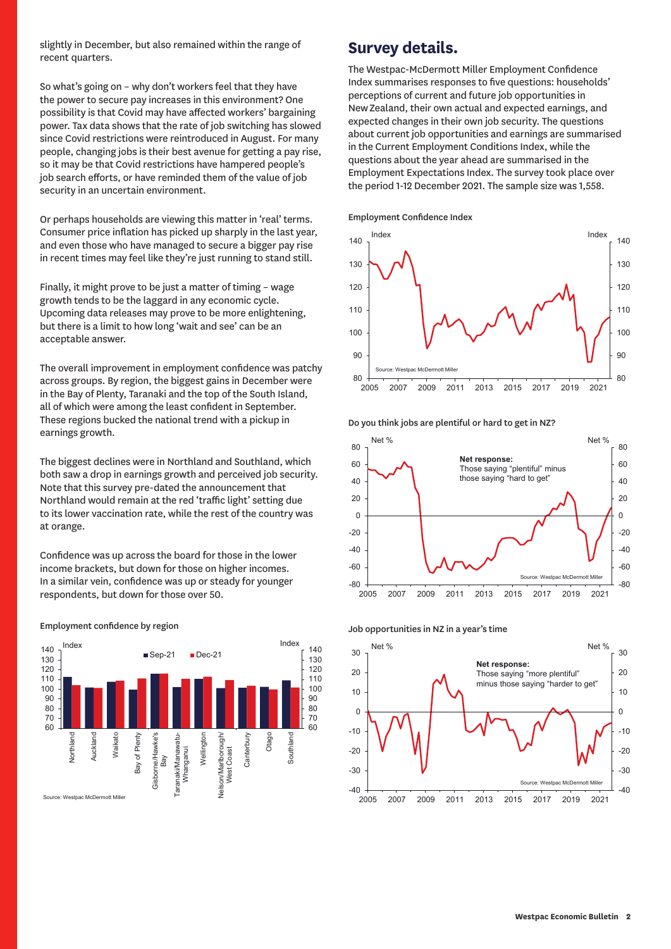slightly in December, but also remained within the range of recent quarters.

So what's going on – why don't workers feel that they have the power to secure pay increases in this environment? One possibility is that Covid may have affected workers' bargaining power. Tax data shows that the rate of job switching has slowed since Covid restrictions were reintroduced in August. For many people, changing jobs is their best avenue for getting a pay rise, so it may be that Covid restrictions have hampered people's job search efforts, or have reminded them of the value of job security in an uncertain environment.

Or perhaps households are viewing this matter in 'real' terms. Consumer price inflation has picked up sharply in the last year, and even those who have managed to secure a bigger pay rise in recent times may feel like they're just running to stand still.

Finally, it might prove to be just a matter of timing – wage growth tends to be the laggard in any economic cycle. Upcoming data releases may prove to be more enlightening, but there is a limit to how long 'wait and see' can be an acceptable answer.

The overall improvement in employment confidence was patchy across groups. By region, the biggest gains in December were in the Bay of Plenty, Taranaki and the top of the South Island, all of which were among the least confident in September. These regions bucked the national trend with a pickup in earnings growth.

The biggest declines were in Northland and Southland, which both saw a drop in earnings growth and perceived job security. Note that this survey pre-dated the announcement that Northland would remain at the red 'traffic light' setting due to its lower vaccination rate, while the rest of the country was at orange.

Confidence was up across the board for those in the lower income brackets, but down for those on higher incomes. In a similar vein, confidence was up or steady for younger respondents, but down for those over 50.



### Employment confidence by region

### **Survey details.**

The Westpac-McDermott Miller Employment Confidence Index summarises responses to five questions: households' perceptions of current and future job opportunities in New Zealand, their own actual and expected earnings, and expected changes in their own job security. The questions about current job opportunities and earnings are summarised in the Current Employment Conditions Index, while the questions about the year ahead are summarised in the Employment Expectations Index. The survey took place over the period 1-12 December 2021. The sample size was 1,558.

Employment Confidence Index



Do you think jobs are plentiful or hard to get in NZ?





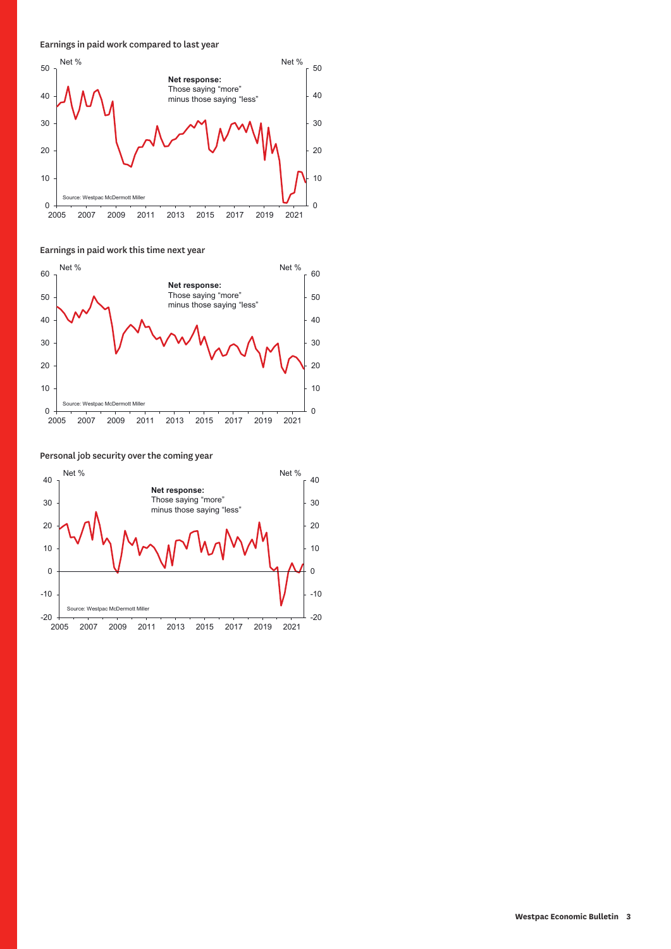Earnings in paid work compared to last year



Earnings in paid work this time next year



Personal job security over the coming year